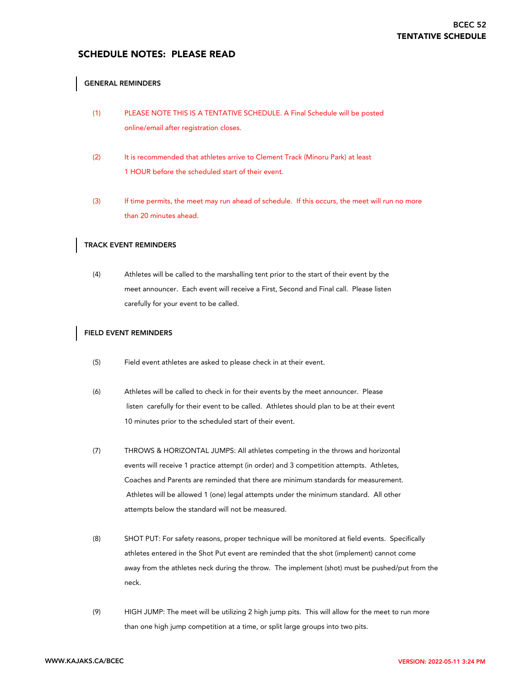# SCHEDULE NOTES: PLEASE READ

#### GENERAL REMINDERS

- (1) PLEASE NOTE THIS IS A TENTATIVE SCHEDULE. A Final Schedule will be posted online/email after registration closes.
- (2) It is recommended that athletes arrive to Clement Track (Minoru Park) at least 1 HOUR before the scheduled start of their event.
- (3) If time permits, the meet may run ahead of schedule. If this occurs, the meet will run no more than 20 minutes ahead.

#### TRACK EVENT REMINDERS

(4) Athletes will be called to the marshalling tent prior to the start of their event by the meet announcer. Each event will receive a First, Second and Final call. Please listen carefully for your event to be called.

#### FIELD EVENT REMINDERS

- (5) Field event athletes are asked to please check in at their event.
- (6) Athletes will be called to check in for their events by the meet announcer. Please listen carefully for their event to be called. Athletes should plan to be at their event 10 minutes prior to the scheduled start of their event.
- (7) THROWS & HORIZONTAL JUMPS: All athletes competing in the throws and horizontal events will receive 1 practice attempt (in order) and 3 competition attempts. Athletes, Coaches and Parents are reminded that there are minimum standards for measurement. Athletes will be allowed 1 (one) legal attempts under the minimum standard. All other attempts below the standard will not be measured.
- (8) SHOT PUT: For safety reasons, proper technique will be monitored at field events. Specifically athletes entered in the Shot Put event are reminded that the shot (implement) cannot come away from the athletes neck during the throw. The implement (shot) must be pushed/put from the neck.
- (9) HIGH JUMP: The meet will be utilizing 2 high jump pits. This will allow for the meet to run more than one high jump competition at a time, or split large groups into two pits.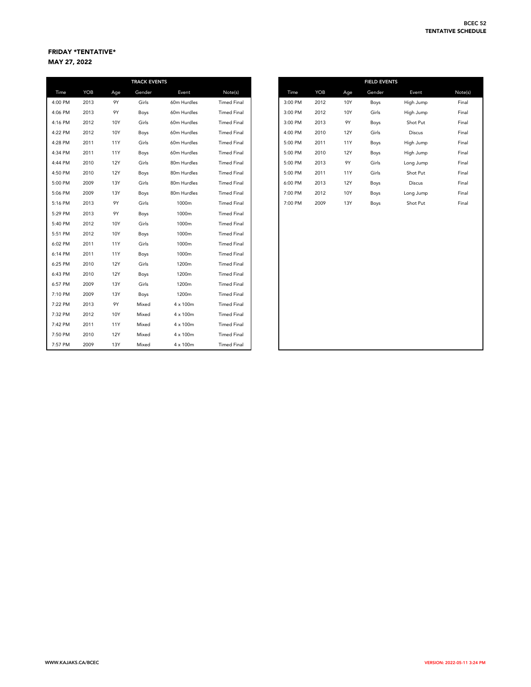## FRIDAY \*TENTATIVE\* MAY 27, 2022

|         |      |            | <b>TRACK EVENTS</b> |                 |                    |
|---------|------|------------|---------------------|-----------------|--------------------|
| Time    | YOB  | Age        | Gender              | Event           | Note(s)            |
| 4:00 PM | 2013 | 9Y         | Girls               | 60m Hurdles     | <b>Timed Final</b> |
| 4:06 PM | 2013 | 9Y         | Boys                | 60m Hurdles     | <b>Timed Final</b> |
| 4:16 PM | 2012 | 10Y        | Girls               | 60m Hurdles     | <b>Timed Final</b> |
| 4:22 PM | 2012 | 10Y        | Boys                | 60m Hurdles     | <b>Timed Final</b> |
| 4:28 PM | 2011 | <b>11Y</b> | Girls               | 60m Hurdles     | <b>Timed Final</b> |
| 4:34 PM | 2011 | <b>11Y</b> | Boys                | 60m Hurdles     | <b>Timed Final</b> |
| 4:44 PM | 2010 | <b>12Y</b> | Girls               | 80m Hurdles     | <b>Timed Final</b> |
| 4:50 PM | 2010 | <b>12Y</b> | Boys                | 80m Hurdles     | <b>Timed Final</b> |
| 5:00 PM | 2009 | 13Y        | Girls               | 80m Hurdles     | <b>Timed Final</b> |
| 5:06 PM | 2009 | 13Y        | Boys                | 80m Hurdles     | <b>Timed Final</b> |
| 5:16 PM | 2013 | 9Y         | Girls               | 1000m           | <b>Timed Final</b> |
| 5:29 PM | 2013 | 9Y         | Boys                | 1000m           | <b>Timed Final</b> |
| 5:40 PM | 2012 | 10Y        | Girls               | 1000m           | <b>Timed Final</b> |
| 5:51 PM | 2012 | 10Y        | Boys                | 1000m           | <b>Timed Final</b> |
| 6:02 PM | 2011 | <b>11Y</b> | Girls               | 1000m           | <b>Timed Final</b> |
| 6:14 PM | 2011 | 11Y        | Boys                | 1000m           | <b>Timed Final</b> |
| 6:25 PM | 2010 | 12Y        | Girls               | 1200m           | <b>Timed Final</b> |
| 6:43 PM | 2010 | <b>12Y</b> | Boys                | 1200m           | <b>Timed Final</b> |
| 6:57 PM | 2009 | 13Y        | Girls               | 1200m           | <b>Timed Final</b> |
| 7:10 PM | 2009 | 13Y        | Boys                | 1200m           | <b>Timed Final</b> |
| 7:22 PM | 2013 | 9Y         | Mixed               | $4 \times 100m$ | <b>Timed Final</b> |
| 7:32 PM | 2012 | 10Y        | Mixed               | $4 \times 100m$ | <b>Timed Final</b> |
| 7:42 PM | 2011 | 11Y        | Mixed               | $4 \times 100m$ | <b>Timed Final</b> |
| 7:50 PM | 2010 | 12Y        | Mixed               | $4 \times 100m$ | <b>Timed Final</b> |
| 7:57 PM | 2009 | 13Y        | Mixed               | $4 \times 100m$ | <b>Timed Final</b> |

|              |      |            | <b>TRACK EVENTS</b> |             |                    |
|--------------|------|------------|---------------------|-------------|--------------------|
| Time         | YOB  | Age        | Gender              | Event       | Note(s)            |
| 00 PM        | 2013 | <b>9Y</b>  | Girls               | 60m Hurdles | <b>Timed Final</b> |
| 06 PM        | 2013 | 9Y         | Boys                | 60m Hurdles | <b>Timed Final</b> |
| <b>16 PM</b> | 2012 | 10Y        | Girls               | 60m Hurdles | <b>Timed Final</b> |
| 22 PM        | 2012 | 10Y        | Boys                | 60m Hurdles | <b>Timed Final</b> |
| 28 PM        | 2011 | 11Y        | Girls               | 60m Hurdles | <b>Timed Final</b> |
| 34 PM        | 2011 | 11Y        | Boys                | 60m Hurdles | <b>Timed Final</b> |
| 44 PM        | 2010 | <b>12Y</b> | Girls               | 80m Hurdles | <b>Timed Final</b> |
| 50 PM        | 2010 | <b>12Y</b> | Boys                | 80m Hurdles | <b>Timed Final</b> |
| 00 PM        | 2009 | 13Y        | Girls               | 80m Hurdles | <b>Timed Final</b> |
| 06 PM        | 2009 | <b>13Y</b> | Boys                | 80m Hurdles | <b>Timed Final</b> |
| 16 PM        | 2013 | <b>9Y</b>  | Girls               | 1000m       | <b>Timed Final</b> |
| <b>29 PM</b> | 2013 | <b>9Y</b>  | Boys                | 1000m       | <b>Timed Final</b> |
|              |      |            |                     |             |                    |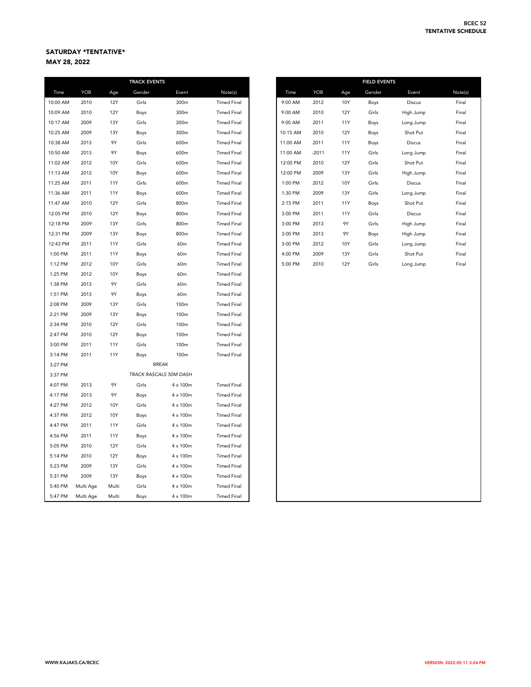# SATURDAY \*TENTATIVE\*

MAY 28, 2022

|          |           |            | <b>TRACK EVENTS</b> |                        |                    |
|----------|-----------|------------|---------------------|------------------------|--------------------|
| Time     | YOB       | Age        | Gender              | Event                  | Note(s)            |
| 10:00 AM | 2010      | <b>12Y</b> | Girls               | 300m                   | <b>Timed Final</b> |
| 10:09 AM | 2010      | <b>12Y</b> | Boys                | 300m                   | <b>Timed Final</b> |
| 10:17 AM | 2009      | 13Y        | Girls               | 300m                   | <b>Timed Final</b> |
| 10:25 AM | 2009      | <b>13Y</b> | Boys                | 300m                   | <b>Timed Final</b> |
| 10:38 AM | 2013      | 9Y         | Girls               | 600m                   | <b>Timed Final</b> |
| 10:50 AM | 2013      | 9Y         | Boys                | 600m                   | <b>Timed Final</b> |
| 11:02 AM | 2012      | 10Y        | Girls               | 600m                   | <b>Timed Final</b> |
| 11:13 AM | 2012      | 10Y        | Boys                | 600m                   | <b>Timed Final</b> |
| 11:25 AM | 2011      | <b>11Y</b> | Girls               | 600m                   | <b>Timed Final</b> |
| 11:36 AM | 2011      | <b>11Y</b> | Boys                | 600m                   | <b>Timed Final</b> |
| 11:47 AM | 2010      | <b>12Y</b> | Girls               | 800m                   | <b>Timed Final</b> |
| 12:05 PM | 2010      | <b>12Y</b> | Boys                | 800m                   | <b>Timed Final</b> |
| 12:18 PM | 2009      | <b>13Y</b> | Girls               | 800m                   | <b>Timed Final</b> |
| 12:31 PM | 2009      | <b>13Y</b> | Boys                | 800m                   | <b>Timed Final</b> |
| 12:43 PM | 2011      | <b>11Y</b> | Girls               | 60m                    | <b>Timed Final</b> |
| 1:00 PM  | 2011      | <b>11Y</b> | Boys                | 60m                    | <b>Timed Final</b> |
| 1:12 PM  | 2012      | 10Y        | Girls               | 60m                    | <b>Timed Final</b> |
| 1:25 PM  | 2012      | 10Y        | Boys                | 60 <sub>m</sub>        | <b>Timed Final</b> |
| 1:38 PM  | 2013      | 9Y         | Girls               | 60m                    | <b>Timed Final</b> |
| 1:51 PM  | 2013      | 9Y         | Boys                | 60m                    | <b>Timed Final</b> |
| 2:08 PM  | 2009      | 13Y        | Girls               | 100m                   | <b>Timed Final</b> |
| 2:21 PM  | 2009      | <b>13Y</b> | Boys                | 100m                   | <b>Timed Final</b> |
| 2:34 PM  | 2010      | <b>12Y</b> | Girls               | 100m                   | <b>Timed Final</b> |
| 2:47 PM  | 2010      | <b>12Y</b> | Boys                | 100m                   | <b>Timed Final</b> |
| 3:00 PM  | 2011      | <b>11Y</b> | Girls               | 100m                   | <b>Timed Final</b> |
| 3:14 PM  | 2011      | <b>11Y</b> | Boys                | 100m                   | <b>Timed Final</b> |
| 3:27 PM  |           |            |                     | <b>BREAK</b>           |                    |
| 3:37 PM  |           |            |                     | TRACK RASCALS 50M DASH |                    |
| 4:07 PM  | 2013      | 9Y         | Girls               | $4 \times 100m$        | <b>Timed Final</b> |
| 4:17 PM  | 2013      | 9Y         | Boys                | 4 x 100m               | <b>Timed Final</b> |
| 4:27 PM  | 2012      | 10Y        | Girls               | $4 \times 100m$        | <b>Timed Final</b> |
| 4:37 PM  | 2012      | 10Y        | Boys                | $4 \times 100m$        | <b>Timed Final</b> |
| 4:47 PM  | 2011      | <b>11Y</b> | Girls               | 4 x 100m               | <b>Timed Final</b> |
| 4:56 PM  | 2011      | <b>11Y</b> | Boys                | $4 \times 100m$        | <b>Timed Final</b> |
| 5:05 PM  | 2010      | <b>12Y</b> | Girls               | $4 \times 100m$        | <b>Timed Final</b> |
| 5:14 PM  | 2010      | <b>12Y</b> | Boys                | $4 \times 100m$        | <b>Timed Final</b> |
| 5:23 PM  | 2009      | 13Y        | Girls               | $4 \times 100m$        | <b>Timed Final</b> |
| 5:31 PM  | 2009      | 13Y        | Boys                | $4 \times 100m$        | <b>Timed Final</b> |
| 5:40 PM  | Multi Age | Multi      | Girls               | $4 \times 100m$        | <b>Timed Final</b> |
| 5:47 PM  | Multi Age | Multi      | Boys                | $4 \times 100m$        | <b>Timed Final</b> |

| <b>TRACK EVENTS</b> |                 |                    |          |            |            | <b>FIELD EVENTS</b> |               |  |
|---------------------|-----------------|--------------------|----------|------------|------------|---------------------|---------------|--|
| Gender              | Event           | Note(s)            | Time     | <b>YOB</b> | Age        | Gender              | Event         |  |
| Girls               | 300m            | <b>Timed Final</b> | 9:00 AM  | 2012       | 10Y        | Boys                | <b>Discus</b> |  |
| Boys                | 300m            | <b>Timed Final</b> | 9:00 AM  | 2010       | 12Y        | Girls               | High Jump     |  |
| Girls               | 300m            | <b>Timed Final</b> | 9:00 AM  | 2011       | <b>11Y</b> | Boys                | Long Jump     |  |
| Boys                | 300m            | <b>Timed Final</b> | 10:15 AM | 2010       | 12Y        | Boys                | Shot Put      |  |
| Girls               | 600m            | <b>Timed Final</b> | 11:00 AM | 2011       | <b>11Y</b> | Boys                | <b>Discus</b> |  |
| Boys                | 600m            | <b>Timed Final</b> | 11:00 AM | $-2011$    | 11Y        | Girls               | Long Jump     |  |
| Girls               | 600m            | <b>Timed Final</b> | 12:00 PM | 2010       | 12Y        | Girls               | Shot Put      |  |
| Boys                | 600m            | <b>Timed Final</b> | 12:00 PM | 2009       | 13Y        | Girls               | High Jump     |  |
| Girls               | 600m            | <b>Timed Final</b> | 1:00 PM  | 2012       | 10Y        | Girls               | <b>Discus</b> |  |
| Boys                | 600m            | <b>Timed Final</b> | 1:30 PM  | 2009       | 13Y        | Girls               | Long Jump     |  |
| Girls               | 800m            | <b>Timed Final</b> | 2:15 PM  | 2011       | 11Y        | Boys                | Shot Put      |  |
| Boys                | 800m            | <b>Timed Final</b> | 3:00 PM  | 2011       | <b>11Y</b> | Girls               | <b>Discus</b> |  |
| Girls               | 800m            | <b>Timed Final</b> | 3:00 PM  | 2013       | 9Y         | Girls               | High Jump     |  |
| Boys                | 800m            | <b>Timed Final</b> | 3:00 PM  | 2013       | 9Y         | Boys                | High Jump     |  |
| Girls               | 60 <sub>m</sub> | <b>Timed Final</b> | 3:00 PM  | 2012       | 10Y        | Girls               | Long Jump     |  |
| Boys                | 60 <sub>m</sub> | <b>Timed Final</b> | 4:00 PM  | 2009       | 13Y        | Girls               | Shot Put      |  |
| Girls               | 60 <sub>m</sub> | <b>Timed Final</b> | 5:00 PM  | 2010       | <b>12Y</b> | Girls               | Long Jump     |  |
|                     |                 |                    |          |            |            |                     |               |  |